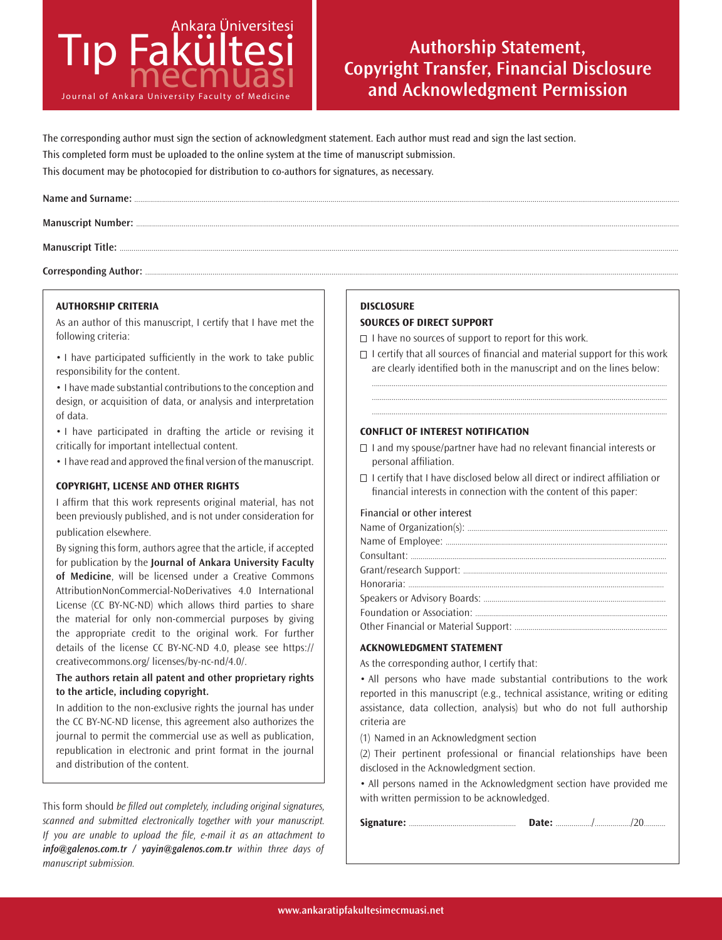

# **Authorship Statement, Copyright Transfer, Financial Disclosure and Acknowledgment Permission**

The corresponding author must sign the section of acknowledgment statement. Each author must read and sign the last section. This completed form must be uploaded to the online system at the time of manuscript submission. This document may be photocopied for distribution to co-authors for signatures, as necessary.

Corresponding Author: ......

### **AUTHORSHIP CRITERIA**

As an author of this manuscript, I certify that I have met the following criteria:

• I have participated sufficiently in the work to take public responsibility for the content.

• I have made substantial contributions to the conception and design, or acquisition of data, or analysis and interpretation of data.

• I have participated in drafting the article or revising it critically for important intellectual content.

• I have read and approved the final version of the manuscript.

## **COPYRIGHT, LICENSE AND OTHER RIGHTS**

I affirm that this work represents original material, has not been previously published, and is not under consideration for publication elsewhere.

By signing this form, authors agree that the article, if accepted for publication by the **Journal of Ankara University Faculty of Medicine**, will be licensed under a Creative Commons AttributionNonCommercial-NoDerivatives 4.0 International License (CC BY-NC-ND) which allows third parties to share the material for only non-commercial purposes by giving the appropriate credit to the original work. For further details of the license CC BY-NC-ND 4.0, please see https:// creativecommons.org/ licenses/by-nc-nd/4.0/.

**The authors retain all patent and other proprietary rights to the article, including copyright.** 

In addition to the non-exclusive rights the journal has under the CC BY-NC-ND license, this agreement also authorizes the journal to permit the commercial use as well as publication, republication in electronic and print format in the journal and distribution of the content.

This form should be filled out completely, including original signatures, scanned and submitted electronically together with your manuscript. If you are unable to upload the file, e-mail it as an attachment to *info@galenos.com.tr / yayin@galenos.com.tr* within three days of manuscript submission.

## **DISCLOSURE**

#### **SOURCES OF DIRECT SUPPORT**

 $\Box$  I have no sources of support to report for this work.

 $\Box$  I certify that all sources of financial and material support for this work are clearly identified both in the manuscript and on the lines below:

..................................................................................................................................................... ..................................................................................................................................................... .....................................................................................................................................................

### **CONFLICT OF INTEREST NOTIFICATION**

- $\Box$  I and my spouse/partner have had no relevant financial interests or personal affiliation.
- $\Box$  I certify that I have disclosed below all direct or indirect affiliation or financial interests in connection with the content of this paper:

#### Financial or other interest

#### **ACKNOWLEDGMENT STATEMENT**

As the corresponding author, I certify that:

• All persons who have made substantial contributions to the work reported in this manuscript (e.g., technical assistance, writing or editing assistance, data collection, analysis) but who do not full authorship criteria are

(1) Named in an Acknowledgment section

(2) Their pertinent professional or financial relationships have been disclosed in the Acknowledgment section.

• All persons named in the Acknowledgment section have provided me with written permission to be acknowledged.

|--|